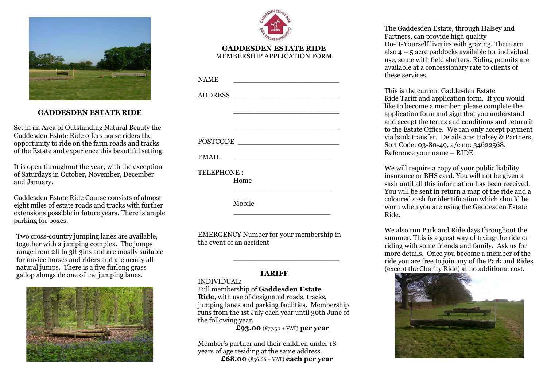

# **GADDESDEN ESTATE RIDE**

Set in an Area of Outstanding Natural Beauty the Gaddesden Estate Ride offers horse riders the opportunity to ride on the farm roads and tracks of the Estate and experience this beautiful setting.

It is open throughout the year, with the exception of Saturdays in October, November, December and January.

Gaddesden Estate Ride Course consists of almost eight miles of estate roads and tracks with further extensions possible in future years. There is ample parking for boxes.

Two cross-country jumping lanes are available, together with a jumping complex. The jumps range from 2ft to 3ft 3ins and are mostly suitable for novice horses and riders and are nearly all natural jumps. There is a five furlong grass gallop alongside one of the jumping lanes.





### **GADDESDEN ESTATE RIDE** MEMBERSHIP APPLICATION FORM

| <b>NAME</b> |          |  |
|-------------|----------|--|
|             | ADDRESS  |  |
|             |          |  |
|             |          |  |
|             | POSTCODE |  |
| EMAIL       |          |  |
| TELEPHONE:  | Home     |  |
|             | Mobile   |  |

EMERGENCY Number for your membership in the event of an accident

 $\mathcal{L}_\text{max}$  and  $\mathcal{L}_\text{max}$  and  $\mathcal{L}_\text{max}$  and  $\mathcal{L}_\text{max}$  and  $\mathcal{L}_\text{max}$ 

## **TARIFF**

### INDIVIDUAL:

Full membership of **Gaddesden Estate Ride**, with use of designated roads, tracks, jumping lanes and parking facilities. Membership runs from the 1st July each year until 30th June of the following year.

**£93.00** (£77.50 + VAT) **per year** 

Member's partner and their children under 18 years of age residing at the same address. **£68.00** (£56.66 + VAT) **each per year**

The Gaddesden Estate, through Halsey and Partners, can provide high quality Do-It-Yourself liveries with grazing. There are also  $4 - 5$  acre paddocks available for individual use, some with field shelters. Riding permits are available at a concessionary rate to clients of these services.

This is the current Gaddesden Estate Ride Tariff and application form. If you would like to become a member, please complete the application form and sign that you understand and accept the terms and conditions and return it to the Estate Office. We can only accept payment via bank transfer. Details are: Halsey & Partners, Sort Code: 03-80-49, a/c no: 34622568. Reference your name – RIDE

We will require a copy of your public liability insurance or BHS card. You will not be given a sash until all this information has been received. You will be sent in return a map of the ride and a coloured sash for identification which should be worn when you are using the Gaddesden Estate Ride.

We also run Park and Ride days throughout the summer. This is a great way of trying the ride or riding with some friends and family. Ask us for more details. Once you become a member of the ride you are free to join any of the Park and Rides (except the Charity Ride) at no additional cost.